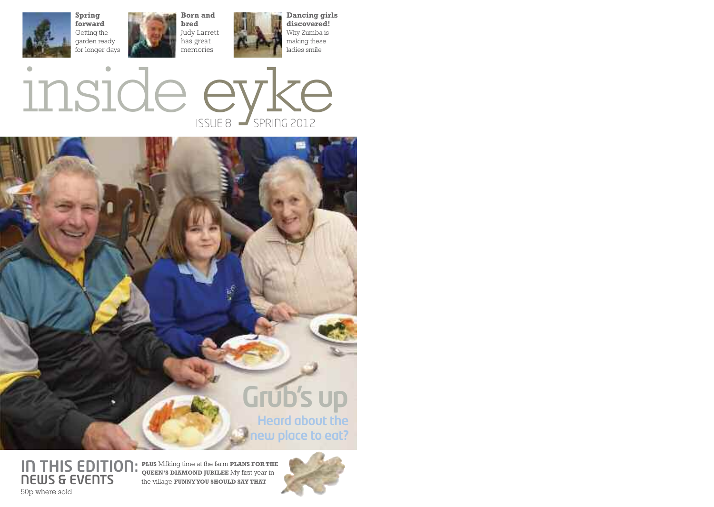

**Spring forward** Getting the garden ready for longer days





**Dancing girls discovered!** Why Zumba is making these ladies smile





**IN THIS EDITION:** PLUS Milking time at the farm **PLANS** FOR THE **NEWS & EVENTS** 50p where sold **QUEEN'S DIAMOND JUBILEE** My first year in the village **FUNNYYOU SHOULD SAYTHAT**

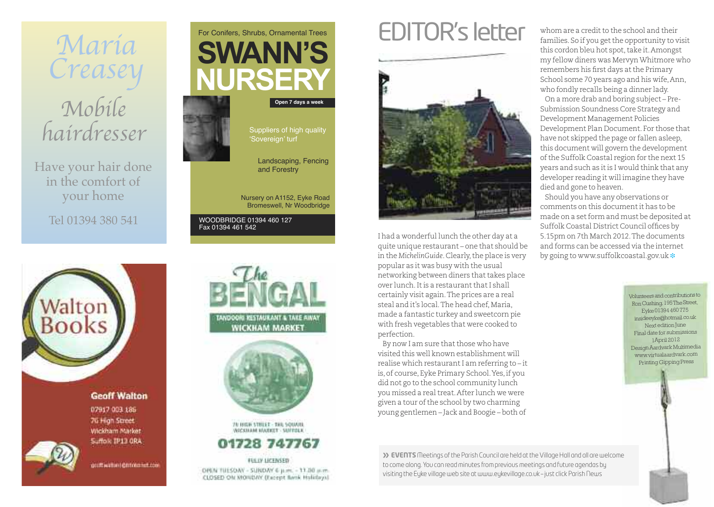

Have your hair done in the comfort of your home

Tel 01394 380 541





**Geoff Walton** 

17917 003 185 76 High Street **Wickham Market** Suffolk IP13 GRA



cuttiwittin (@thnocahet.com







74 HIGH STREET - THE SQUARE **WICKHAM MARKET - SUPPOLK** 

### 01728 747767

FEELY LICENSED DREN TUESDAY - SUNDAY 6 ji.m. - 11.00 ji.m. CLOSED ON MOILDAY (Except flamk Holidaya)

## EDITOR's letter



I had a wonderful lunch the other day at a quite unique restaurant – one that should be in the *MichelinGuide*. Clearly, the place is very popular as it was busy with the usual networking between diners that takes place over lunch. It is a restaurant that I shall certainly visit again.The prices are a real steal and it's local. The head chef, Maria, made a fantastic turkey and sweetcorn pie with fresh vegetables that were cooked to perfection.

By now I am sure that those who have visited this well known establishment will realise which restaurantI am referring to – it is, of course, Eyke Primary School.Yes,if you did not go to the school community lunch you missed a real treat. After lunch we were given a tour of the school by two charming young gentlemen – Jack and Boogie – both of

whom are a credit to the school and their families. So if you get the opportunity to visit this cordon bleu hot spot, take it. Amongst my fellow diners was MervynWhitmore who remembers his first days at the Primary School some 70 years ago and his wife,Ann, who fondly recalls being a dinner lady.

On a more drab and boring subject – Pre-Submission Soundness Core Strategy and Development Management Policies Development Plan Document. For those that have not skipped the page or fallen asleep, this document will govern the development ofthe Suffolk Coastal region for the next 15 years and such as itis I would think that any developer reading it will imagine they have died and gone to heaven.

Should you have any observations or comments on this documentit has to be made on a setform and must be deposited at Suffolk Coastal District Council offices by 5.15pm on 7th March 2012.The documents and forms can be accessed via the internet by going to [www.suffolkcoastal.gov.uk](http://www.suffolkcoastal.gov.uk)  $\ast$ 

> Volunteersandcontributions to Ron Cushing, 195The Street Eyke01394460775 [insideeyke@hotmail.co.uk](mailto:insideeyke@hotmail.co.uk) Next edition June Final date for submissions 1April 2012 Design Aardvark Multimedia www.virtualaardvark.com Printing Gipping Press

**» EVENTS** Meetings ofthe Parish Council are held attheVillageHall and all are welcome to come along. You can read minutes from previous meetings and future agendas by visiting the Eyke village web site at [www.eykevillage.co.uk](http://www.eykevillage.co.uk) – just click Parish News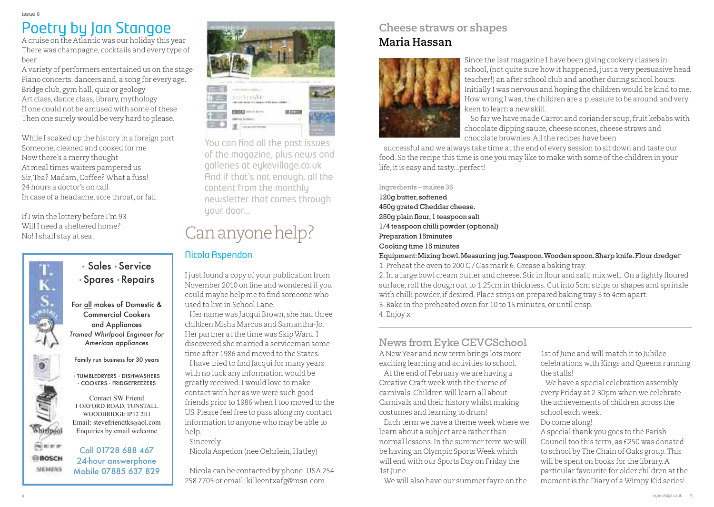## Poetry by Jan Stangoe

A cruise on the Atlantic was our holiday this year There was champagne, cocktails and every type of beer

A variety of performers entertained us on the stage Piano concerts,dancers and, a song for every age. Bridge club, gym hall,quiz or geology Art class,dance class,library,mythology If one could not be amused with some of these Then one surely would be very hard to please.

While I soaked up the history in a foreign port Someone, cleaned and cooked for me Now there's a merry thought At meal times waiters pampered us Sir,Tea? Madam,Coffee?What a fuss! 24 hours a doctor's on call In case of a headache, sore throat, or fall

IfI win the lottery before I'm 93 Will I need a sheltered home? No! I shall stay at sea.



### • Sales • Service • Spares • Repairs

For all makes of Domestic & Commercial Cookers and Appliances *Trained Whirlpool Engineer for American appliances*

Family run business for 30 years • TUMBLEDRYERS • DISHWASHERS

Contact SW Friend • COOKERS • FRIDGEFREEZERS

1 OrFOrd rOad, TunSTall WOOdbridge iP12 2JH email: stevefriendtks@aol.com Enquiries by email welcome

Call 01728 688 467 24-hour answerphone Mobile 07885 637 829





You can find all the past issues of the magazine, plus news and galleries at eykevillage.co.uk And if that's not enough, all the content from the monthly newsletter that comes through your door...

## Can anyone help?

### Nicola Aspendon

I just found a copy of your publication from November 2010 on line and wondered if you could maybe help me to find someone who used to live in School Lane.

Her name was Jacqui Brown, she had three children Misha Marcus and Samantha-Jo. Her partner at the time was Skip Ward. I discovered she married a serviceman some time after 1986 and moved to the States. I have tried to find Jacqui for many years with no luck any information would be greatly received.I would love to make contact with her as we were such good friends prior to 1986 when I too moved to the US. Please feel free to pass along my contact information to anyone who may be able to help.

Sincerely

Nicola Aspedon (nee Oehrlein, Hatley)

Nicola can be contacted by phone: USA 254 258 7705 or email: killeentxafg@msn.com

### **Cheese straws or shapes Maria Hassan**



Since the last magazine I have been giving cookery classes in school, (not quite sure how it happened, just a very persuasive head teacher!) an after school club and another during school hours. Initially I was nervous and hoping the children would be kind to me. How wrong I was,the children are a pleasure to be around and very keen to learn a new skill.

So far we have made Carrot and coriander soup,fruit kebabs with chocolate dipping sauce, cheese scones, cheese straws and chocolate brownies. All the recipes have been

successful and we always take time at the end of every session to sit down and taste our food. So the recipe this time is one you may like to make with some ofthe children in your life,itis easy and tasty...perfect!

### Ingredients – makes 36

120g butter,softened 450g grated Cheddar cheese. 250g plain flour,1 teaspoon salt 1/4 teaspoon chilli powder (optional) Preparation 15minutes Cooking time 15 minutes

### Equipment:Mixing bowl.Measuring jug.Teaspoon.Wooden spoon.Sharp knife.Flour dredger

1. Preheat the oven to 200 C / Gas mark 6. Grease a baking tray. 2.In a large bowl cream butter and cheese. Stir in flour and salt; mix well.On a lightly floured surface, roll the dough out to 1.25cm in thickness. Cut into 5cm strips or shapes and sprinkle with chilli powder, if desired. Place strips on prepared baking tray 3 to 4cm apart. 3.Bake in the preheated oven for 10 to 15 minutes, or until crisp. 4. Enjoy x

### News from Eyke CEVCSchool A NewYear and new term brings lots more exciting learning and activities to school.

Atthe end of February we are having a Creative Craft week with the theme of carnivals.Children will learn all about Carnivals and their history whilst making costumes and learning to drum!

Each term we have a theme week where we learn about a subject area rather than normal lessons.In the summer term we will be having an Olympic SportsWeek which will end with our Sports Day on Friday the 1stJune.

We will also have our summer fayre on the

1st of June and will match it to Jubilee celebrations with Kings and Queens running the stalls!

We have a special celebration assembly every Friday at 2.30pm when we celebrate the achievements of children across the school each week.

Do come along!

A special thank you goes to the Parish Counciltoo this term, as £250 was donated to school byThe Chain of Oaks group.This will be spent on books for the library.A particular favourite for older children atthe momentis the Diary of aWimpy Kid series!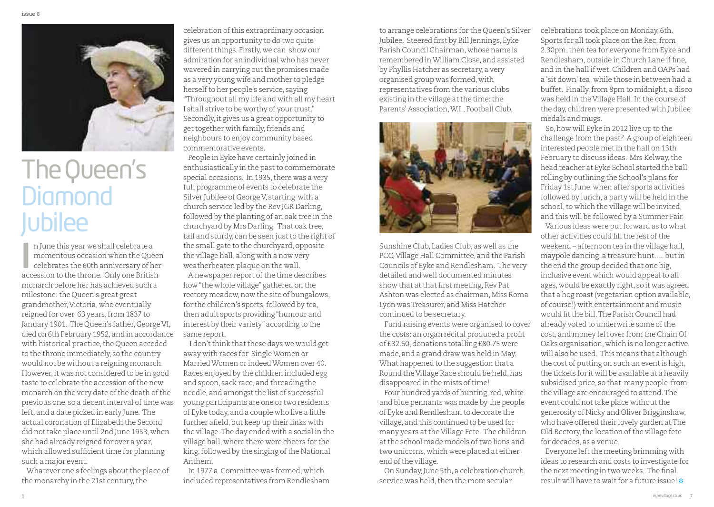

## TheQueen's **Diamond** Jubilee

n June this year we shall celebrate a momentous occasion when the Queen n June this year we shall celebrate a<br>
momentous occasion when the Queer<br>
celebrates the 60th anniversary of her<br> **I**PS accession to the threne. Only one Pritish accession to the throne. Only one British monarch before her has achieved such a milestone: the Queen's great great grandmother, Victoria, who eventually reigned for over 63 years, from 1837 to January 1901. The Queen's father, George VI, died on 6th February 1952, and in accordance with historical practice, the Queen acceded to the throne immediately, so the country would not be without a reigning monarch. However,it was not considered to be in good taste to celebrate the accession of the new monarch on the very date of the death of the previous one, so a decent interval of time was left, and a date picked in early June. The actual coronation of Elizabeth the Second did not take place until 2nd June 1953, when she had already reigned for over a year, which allowed sufficient time for planning such a major event.

Whatever one's feelings about the place of the monarchy in the 21st century, the

celebration ofthis extraordinary occasion gives us an opportunity to do two quite different things. Firstly, we can show our admiration for an individual who has never wavered in carrying out the promises made as a very young wife and mother to pledge herself to her people's service, saying "Throughout all my life and with all my heart I shall strive to be worthy of your trust." Secondly,it gives us a great opportunity to get together with family, friends and neighbours to enjoy community based commemorative events.

People in Eyke have certainly joined in enthusiastically in the past to commemorate special occasions. In 1935, there was a very full programme of events to celebrate the Silver Jubilee of George V, starting with a church service led by the Rev JGR Darling, followed by the planting of an oak tree in the churchyard by Mrs Darling. That oak tree, tall and sturdy, can be seen just to the right of the small gate to the churchyard, opposite the village hall, along with a now very weatherbeaten plaque on the wall.

A newspaper report of the time describes how"the whole village" gathered on the rectory meadow,now the site of bungalows, for the children's sports, followed by tea, then adult sports providing"humour and interest by their variety" according to the same report.

I don't think that these days we would get away with races for SingleWomen or MarriedWomen or indeedWomen over 40. Races enjoyed by the children included egg and spoon, sack race, and threading the needle, and amongst the list of successful young participants are one or two residents of Eyke today, and a couple who live a little further afield, but keep up their links with the village.The day ended with a social in the village hall, where there were cheers for the king, followed by the singing of the National Anthem.

In 1977 a Committee was formed, which included representatives from Rendlesham

to arrange celebrations for the Queen's Silver Jubilee. Steered first by Bill Jennings, Eyke Parish Council Chairman, whose name is remembered inWilliam Close, and assisted by Phyllis Hatcher as secretary, a very organised group was formed, with representatives from the various clubs existing in the village at the time: the Parents' Association,W.I., Football Club,



Sunshine Club, Ladies Club, as well as the PCC,Village Hall Committee, and the Parish Councils of Eyke and Rendlesham. The very detailed and well documented minutes show that at that first meeting, Rev Pat Ashton was elected as chairman, Miss Roma Lyon wasTreasurer, and Miss Hatcher continued to be secretary.

Fund raising events were organised to cover the costs: an organ recital produced a profit of £32.60,donations totalling £80.75 were made, and a grand draw was held in May. What happened to the suggestion that a Round the Village Race should be held, has disappeared in the mists of time!

Four hundred yards of bunting, red, white and blue pennants was made by the people of Eyke and Rendlesham to decorate the village, and this continued to be used for many years atthe Village Fete. The children atthe school made models oftwo lions and two unicorns, which were placed at either end of the village.

On Sunday,June 5th, a celebration church service was held, then the more secular

celebrations took place on Monday, 6th. Sports for all took place on the Rec. from 2.30pm, then tea for everyone from Eyke and Rendlesham, outside in Church Lane if fine, and in the hall if wet.Children and OAPs had a 'sit down'tea, while those in between had a buffet. Finally, from 8pm to midnight, a disco was held in the Village Hall.In the course of the day, children were presented with Jubilee medals and mugs.

So,how will Eyke in 2012 live up to the challenge from the past? A group of eighteen interested people metin the hall on 13th February to discuss ideas. Mrs Kelway,the head teacher at Eyke School started the ball rolling by outlining the School's plans for Friday 1stJune, when after sports activities followed by lunch, a party will be held in the school, to which the village will be invited, and this will be followed by a Summer Fair.

Various ideas were put forward as to what other activities could fill the rest of the weekend – afternoon tea in the village hall, maypole dancing, a treasure hunt.....butin the end the group decided that one big, inclusive event which would appeal to all ages, would be exactly right, so it was agreed that a hog roast(vegetarian option available, of course!) with entertainment and music would fitthe bill.The Parish Council had already voted to underwrite some of the cost, and money left over from the Chain Of Oaks organisation, which is no longer active, will also be used. This means that although the cost of putting on such an eventis high, the tickets for it will be available at a heavily subsidised price, so that many people from the village are encouraged to attend.The event could not take place without the generosity of Nicky and Oliver Brigginshaw, who have offered their lovely garden atThe Old Rectory, the location of the village fete for decades, as a venue.

Everyone left the meeting brimming with ideas to research and costs to investigate for the next meeting in two weeks. The final result will have to wait for a future issue!  $\ast$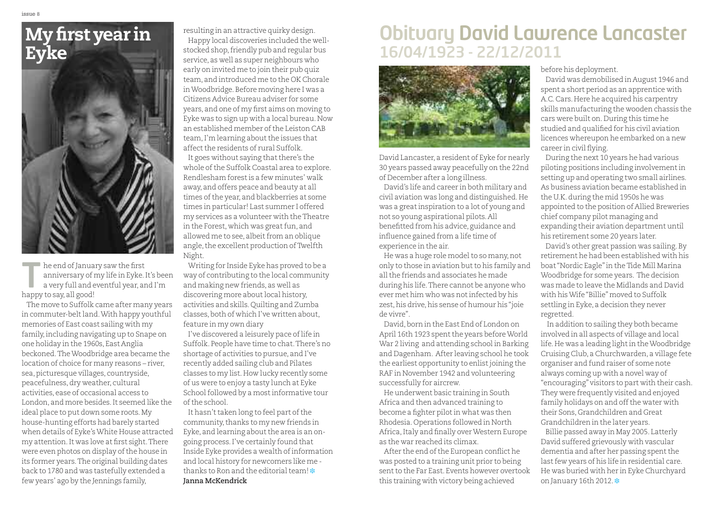

 $\blacksquare$  he end of January saw the first anniversary of my life in Eyke.It's been a very full and eventful year, and I'm **THE MANUSE SERVING THE SAMPLE STATES AND THE SAMPLE STATES AND FOUND THAPPY TO SAY, all good!** 

The move to Suffolk came after many years in commuter-belt land. With happy youthful memories of East coast sailing with my family,including navigating up to Snape on one holiday in the 1960s, East Anglia beckoned.TheWoodbridge area became the location of choice for many reasons – river, sea,picturesque villages, countryside, peacefulness,dry weather, cultural activities, ease of occasional access to London, and more besides.It seemed like the ideal place to put down some roots.My house-hunting efforts had barely started when details of Eyke'sWhite House attracted my attention.It was love at first sight.There were even photos on display of the house in its former years.The original building dates back to 1780 and was tastefully extended a few years' ago by the Jennings family,

resulting in an attractive quirky design. Happy local discoveries included the wellstocked shop, friendly pub and regular bus service, as well as super neighbours who early on invited me to join their pub quiz team, and introduced me to the OK Chorale inWoodbridge.Before moving here I was a Citizens Advice Bureau adviser for some years, and one of my first aims on moving to Eyke was to sign up with a local bureau.Now an established member ofthe Leiston CAB team, I'm learning about the issues that affect the residents of rural Suffolk.

It goes without saying that there's the whole of the Suffolk Coastal area to explore. Rendlesham forestis a few minutes' walk away, and offers peace and beauty at all times of the year, and blackberries at some times in particular! Last summer I offered my services as a volunteer with theTheatre in the Forest, which was great fun, and allowed me to see, albeit from an oblique angle, the excellent production of Twelfth Night.

Writing for Inside Eyke has proved to be a way of contributing to the local community and making new friends, as well as discovering more about local history, activities and skills. Quilting and Zumba classes,both of which I've written about, feature in my own diary

I've discovered a leisurely pace of life in Suffolk. People have time to chat.There's no shortage of activities to pursue, and I've recently added sailing club and Pilates classes to my list.How lucky recently some of us were to enjoy a tasty lunch at Eyke School followed by a most informative tour ofthe school.

It hasn't taken long to feel part of the community, thanks to my new friends in Eyke, and learning about the area is an ongoing process.I've certainly found that Inside Eyke provides a wealth of information and local history for newcomers like me thanks to Ron and the editorial team!  $\ast$ **Janna McKendrick**

### **Obituary David Lawrence Lancaster 16/04/1923 - 22/12/2011**



David Lancaster, a resident of Eyke for nearly 30 years passed away peacefully on the 22nd of December after a long illness.

David's life and career in both military and civil aviation was long and distinguished.He was a greatinspiration to a lot of young and not so young aspirational pilots.All benefitted from his advice, guidance and influence gained from a life time of experience in the air.

He was a huge role model to so many, not only to those in aviation butto his family and allthe friends and associates he made during his life.There cannot be anyone who ever met him who was notinfected by his zest, his drive, his sense of humour his "joie de vivre".

David,born in the East End of London on April 16th 1923 spent the years before World War 2 living and attending school in Barking and Dagenham. After leaving school he took the earliest opportunity to enlist joining the RAF in November 1942 and volunteering successfully for aircrew.

He underwent basic training in South Africa and then advanced training to become a fighter pilot in what was then Rhodesia.Operations followed in North Africa, Italy and finally over Western Europe as the war reached its climax.

After the end of the European conflict he was posted to a training unit prior to being sent to the Far East. Events however overtook this training with victory being achieved

before his deployment.

David was demobilised in August 1946 and spent a short period as an apprentice with A.C.Cars.Here he acquired his carpentry skills manufacturing the wooden chassis the cars were built on.During this time he studied and qualified for his civil aviation licences whereupon he embarked on a new career in civil flying.

During the next 10 years he had various piloting positions including involvementin setting up and operating two small airlines. As business aviation became established in the U.K.during the mid 1950s he was appointed to the position of Allied Breweries chief company pilot managing and expanding their aviation department until his retirement some 20 years later.

David's other great passion was sailing.By retirement he had been established with his boat"Nordic Eagle"in theTide Mill Marina Woodbridge for some years. The decision was made to leave the Midlands and David with hisWife"Billie"moved to Suffolk settling in Eyke, a decision they never regretted.

In addition to sailing they both became involved in all aspects of village and local life. He was a leading light in the Woodbridge Cruising Club, a Churchwarden, a village fete organiser and fund raiser of some note always coming up with a novel way of "encouraging" visitors to part with their cash. They were frequently visited and enjoyed family holidays on and off the water with their Sons, Grandchildren and Great Grandchildren in the later years.

Billie passed away in May 2005. Latterly David suffered grievously with vascular dementia and after her passing spent the last few years of his life in residential care. He was buried with her in Eyke Churchyard on January 16th 2012.  $\ast$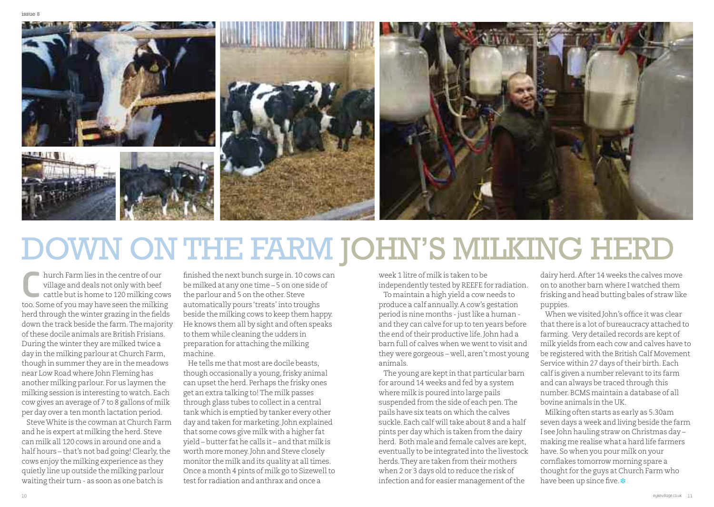

# DOWN ON THE FARM JOHN'S MILKING HERD

hurch Farm lies in the centre of our village and deals not only with beef cattle but is home to 120 milking cows too. Some of you may have seen the milking herd through the winter grazing in the fields down the track beside the farm.The majority ofthese docile animals are British Frisians. During the winter they are milked twice a day in the milking parlour at Church Farm, though in summer they are in the meadows near Low Road where John Fleming has another milking parlour. For us laymen the milking session is interesting to watch. Each cow gives an average of 7 to 8 gallons of milk per day over a ten month lactation period. hurch Farm lies in the centre of our finished the next bunch surge in. 10 cows can<br>village and deals not only with beef<br>cattle but is home to 120 milking cows the parlour and 5 on the other. Steve<br>to Some of you may have s

SteveWhite is the cowman at Church Farm and he is expert at milking the herd. Steve can milk all 120 cows in around one and a half hours – that's not bad going! Clearly, the cows enjoy the milking experience as they quietly line up outside the milking parlour waiting their turn - as soon as one batch is

finished the next bunch surge in. 10 cows can be milked at any one time – 5 on one side of the parlour and 5 on the other. Steve automatically pours 'treats' into troughs beside the milking cows to keep them happy. He knows them all by sight and often speaks to them while cleaning the udders in preparation for attaching the milking machine.

He tells me that most are docile beasts, though occasionally a young, frisky animal can upset the herd. Perhaps the frisky ones get an extra talking to!The milk passes through glass tubes to collectin a central tank which is emptied by tanker every other day and taken for marketing.John explained that some cows give milk with a higher fat yield – butter fat he calls it – and that milk is worth more money.John and Steve closely monitor the milk and its quality at all times. Once a month 4 pints of milk go to Sizewell to testfor radiation and anthrax and once a

independently tested by REEFE for radiation.

To maintain a high yield a cow needs to produce a calf annually.A cow's gestation period is nine months -justlike a human and they can calve for up to ten years before the end of their productive life. John had a barn full of calves when we went to visit and they were gorgeous – well, aren't most young animals.

The young are keptin that particular barn for around 14 weeks and fed by a system where milk is poured into large pails suspended from the side of each pen.The pails have six teats on which the calves suckle. Each calf will take about 8 and a half pints per day which is taken from the dairy herd. Both male and female calves are kept, eventually to be integrated into the livestock herds.They are taken from their mothers when 2 or 3 days old to reduce the risk of infection and for easier management of the

dairy herd.After 14 weeks the calves move on to another barn where I watched them frisking and head butting bales of straw like puppies.

When we visited John's office it was clear that there is a lot of bureaucracy attached to farming. Very detailed records are kept of milk yields from each cow and calves have to be registered with the British Calf Movement Service within 27 days of their birth. Each calf is given a number relevant to its farm and can always be traced through this number.BCMS maintain a database of all bovine animals in the UK.

Milking often starts as early as 5.30am seven days a week and living beside the farm I see John hauling straw on Christmas day – making me realise what a hard life farmers have. So when you pour milk on your cornflakes tomorrow morning spare a thought for the guys at Church Farm who have been up since five.  $\ast$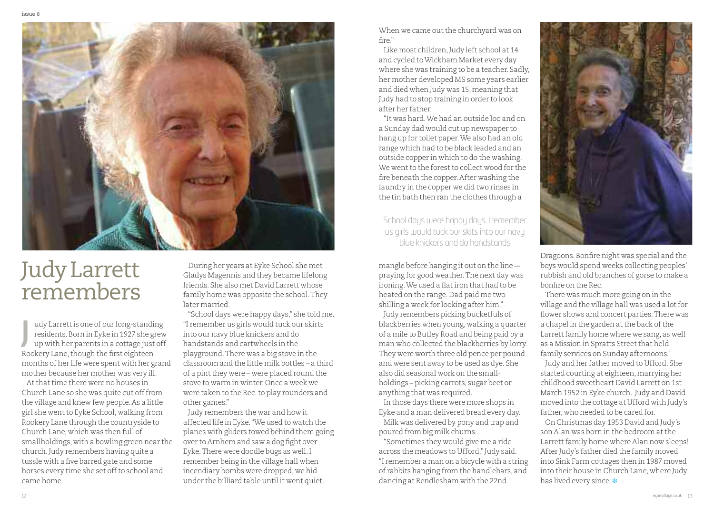

## Judy Larrett remembers

udy Larrettis one of our long-standing residents.Born in Eyke in 1927 she grew up with her parents in a cottage just off Rookery Lane, though the first eighteen months of her life were spent with her grand mother because her mother was very ill. **J**

At that time there were no houses in Church Lane so she was quite cut off from the village and knew few people.As a little girl she went to Eyke School, walking from Rookery Lane through the countryside to Church Lane, which was then full of smallholdings, with a bowling green near the church.Judy remembers having quite a tussle with a five barred gate and some horses every time she set off to school and came home.

During her years at Eyke School she met Gladys Magennis and they became lifelong friends. She also met David Larrett whose family home was opposite the school.They later married.

"School days were happy days," she told me. "I remember us girls would tuck our skirts into our navy blue knickers and do handstands and cartwheels in the playground.There was a big stove in the classroom and the little milk bottles – a third of a pint they were – were placed round the stove to warm in winter.Once a week we were taken to the Rec. to play rounders and other games."

Judy remembers the war and how it affected life in Eyke."We used to watch the planes with gliders towed behind them going over to Arnhem and saw a dog fight over Eyke.There were doodle bugs as well.I remember being in the village hall when incendiary bombs were dropped, we hid under the billiard table until it went quiet.

When we came out the churchyard was on  $firr<sub>P</sub>$ "

Like most children,Judy left school at 14 and cycled toWickham Market every day where she was training to be a teacher. Sadly, her mother developed MS some years earlier and died when Judy was 15,meaning that Judy had to stop training in order to look after her father.

"It was hard.We had an outside loo and on a Sunday dad would cut up newspaper to hang up for toilet paper.We also had an old range which had to be black leaded and an outside copper in which to do the washing. We went to the forest to collect wood for the fire beneath the copper.After washing the laundry in the copper we did two rinses in the tin bath then ran the clothes through a

### School days were happy days. Iremember us girls would tuck our skits into our navy blue knickers and do handstands

mangle before hanging it out on the line – praying for good weather.The next day was ironing.We used a flatiron that had to be heated on the range.Dad paid me two shilling a week for looking after him."

Judy remembers picking bucketfuls of blackberries when young, walking a quarter of a mile to Butley Road and being paid by a man who collected the blackberries by lorry. They were worth three old pence per pound and were sent away to be used as dye. She also did seasonal work on the smallholdings – picking carrots, sugar beet or anything that was required.

In those days there were more shops in Eyke and a man delivered bread every day. Milk was delivered by pony and trap and poured from big milk churns.

"Sometimes they would give me a ride across the meadows to Ufford,"Judy said. "I remember a man on a bicycle with a string of rabbits hanging from the handlebars, and dancing at Rendlesham with the 22nd



Dragoons.Bonfire night was special and the boys would spend weeks collecting peoples' rubbish and old branches of gorse to make a bonfire on the Rec.

There was much more going on in the village and the village hall was used a lot for flower shows and concert parties.There was a chapel in the garden at the back of the Larrett family home where we sang, as well as a Mission in Spratts Street that held family services on Sunday afternoons.'

Judy and her father moved to Ufford. She started courting at eighteen, marrying her childhood sweetheart David Larrett on 1st March 1952 in Eyke church. Judy and David moved into the cottage at Ufford with Judy's father, who needed to be cared for.

On Christmas day 1953 David and Judy's son Alan was born in the bedroom atthe Larrett family home where Alan now sleeps! After Judy's father died the family moved into Sink Farm cottages then in 1987 moved into their house in Church Lane, where Judy has lived every since.  $\ast$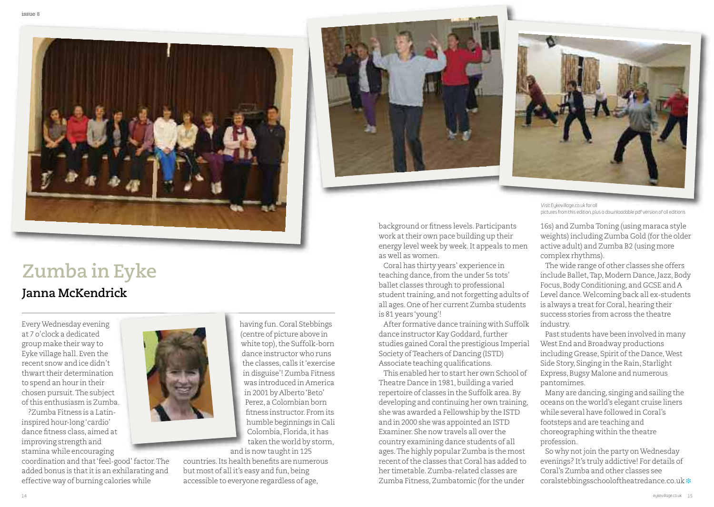

## **Zumba in Eyke**

### **Janna McKendrick**

EveryWednesday evening at 7 o'clock a dedicated group make their way to Eyke village hall. Even the recent snow and ice didn't thwart their determination to spend an hour in their chosen pursuit.The subject ofthis enthusiasm is Zumba.

?Zumba Fitness is a Latininspired hour-long'cardio' dance fitness class, aimed at improving strength and stamina while encouraging

coordination and that'feel-good'factor.The added bonus is thatitis an exhilarating and effective way of burning calories while



was introduced in America in 2001 by Alberto 'Beto' Perez, a Colombian born fitness instructor. From its humble beginnings in Cali Colombia, Florida,it has taken the world by storm,

and is now taught in 125 countries.Its health benefits are numerous but most of all it's easy and fun, being accessible to everyone regardless of age,

background or fitness levels. Participants work at their own pace building up their energy level week by week.It appeals to men as well as women.

Coral has thirty years' experience in teaching dance, from the under 5s tots' ballet classes through to professional student training, and not forgetting adults of all ages.One of her current Zumba students is 81 years 'young'!

After formative dance training with Suffolk dance instructor Kay Goddard, further studies gained Coral the prestigious Imperial Society of Teachers of Dancing (ISTD) Associate teaching qualifications.

This enabled her to start her own School of Theatre Dance in 1981, building a varied repertoire of classes in the Suffolk area.By developing and continuing her own training, she was awarded a Fellowship by the ISTD and in 2000 she was appointed an ISTD Examiner. She now travels all over the country examining dance students of all ages.The highly popular Zumba is the most recent of the classes that Coral has added to her timetable.Zumba-related classes are Zumba Fitness, Zumbatomic (for the under

Visit [Eykevillage.co.uk](http://www.eykevillage.co.uk) for all pictures from this edition, plus a downloadable pdf version of all editions

16s) and ZumbaToning (using maraca style weights) including Zumba Gold (for the older active adult) and Zumba B2 (using more complex rhythms).

The wide range of other classes she offers include Ballet, Tap, Modern Dance, Jazz, Body Focus, Body Conditioning, and GCSE and A Level dance.Welcoming back all ex-students is always a treat for Coral, hearing their success stories from across the theatre industry.

Past students have been involved in many West End and Broadway productions including Grease, Spirit of the Dance, West Side Story, Singing in the Rain, Starlight Express,Bugsy Malone and numerous pantomimes.

Many are dancing, singing and sailing the oceans on the world's elegant cruise liners while several have followed in Coral's footsteps and are teaching and choreographing within the theatre profession.

So why not join the party on Wednesday evenings? It's truly addictive! For details of Coral's Zumba and other classes see coralstebbingsschooloftheatredance.co.uk \*



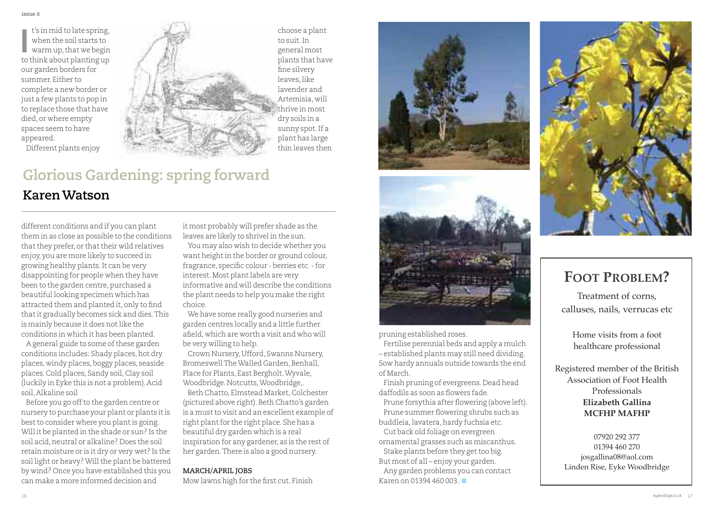t's in mid to late spring, when the soil starts to warm up, that we begin If sin mid to late spring,<br>
when the soil starts to<br>
warm up, that we begin<br>
to think about planting up our garden borders for summer. Either to complete a new border or just a few plants to pop in to replace those that have died, or where empty spaces seem to have appeared. Different plants enjoy



choose a plant to suit.In general most plants that have fine silvery leaves, like lavender and Artemisia, will thrive in most dry soils in a sunny spot. If a plant has large thin leaves then

## **Glorious Gardening: spring forward**

**KarenWatson**

different conditions and if you can plant them in as close as possible to the conditions that they prefer, or that their wild relatives enjoy, you are more likely to succeed in growing healthy plants.It can be very disappointing for people when they have been to the garden centre, purchased a beautiful looking specimen which has attracted them and planted it, only to find thatit gradually becomes sick and dies.This is mainly because it does not like the conditions in which it has been planted.

A general guide to some of these garden conditions includes: Shady places, hot dry places, windy places,boggy places, seaside places.Cold places, Sandy soil,Clay soil (luckily in Eyke this is not a problem).Acid soil,Alkaline soil

Before you go off to the garden centre or nursery to purchase your plant or plants itis best to consider where you plant is going. Will it be planted in the shade or sun? Is the soil acid,neutral or alkaline? Does the soil retain moisture or is it dry or very wet? Is the soil light or heavy? Will the plant be battered by wind? Once you have established this you can make a more informed decision and

it most probably will prefer shade as the leaves are likely to shrivel in the sun.

You may also wish to decide whether you want height in the border or ground colour, fragrance, specific colour - berries etc.-for interest.Most plantlabels are very informative and will describe the conditions the plant needs to help you make the right choice.

We have some really good nurseries and garden centres locally and a little further afield, which are worth a visit and who will be very willing to help.

Crown Nursery,Ufford, Swanns Nursery, Bromeswell The Walled Garden, Benhall, Place for Plants, East Bergholt.Wyvale, Woodbridge.Notcutts,Woodbridge,.

Beth Chatto, Elmstead Market,Colchester (pictured above right). Beth Chatto's garden is a must to visit and an excellent example of right plant for the right place. She has a beautiful dry garden which is a real inspiration for any gardener, as is the rest of her garden.There is also a good nursery.

#### **MARCH/APRIL JOBS**

Mow lawns high for the first cut. Finish





pruning established roses.

Fertilise perennial beds and apply a mulch – established plants may still need dividing. Sow hardy annuals outside towards the end of March.

Finish pruning of evergreens.Dead head daffodils as soon as flowers fade. Prune forsythia after flowering (above left). Prune summer flowering shrubs such as buddleia, lavatera, hardy fuchsia etc. Cut back old foliage on evergreen ornamental grasses such as miscanthus. Stake plants before they get too big. But most of all – enjoy your garden. Any garden problems you can contact Karen on 01394 460 003  $\cdot$ 



### **Foot problem?**

Treatment of corns, calluses, nails, verrucas etc

Home visits from a foot healthcare professional

Registered member of the British Association of Foot Health Professionals **elizabeth Gallina mCFHp mAFHp**

07920 292 377 01394 460 270 josgallina08@aol.com Linden Rise, Eyke Woodbridge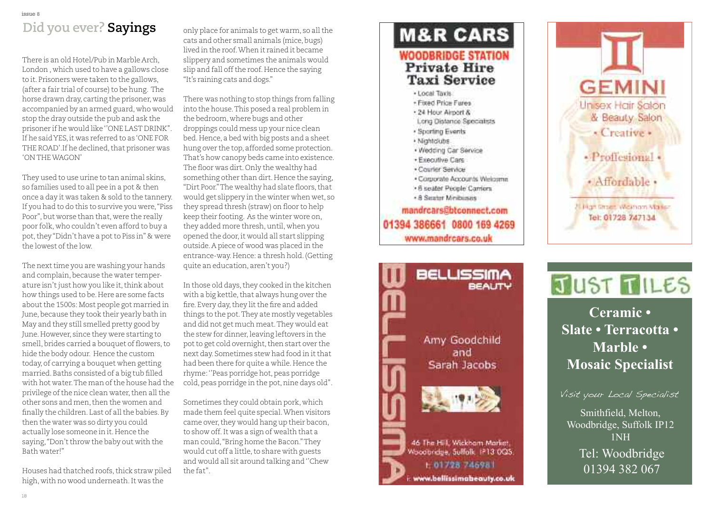### i s s u e 8 **D i d y o u ev e r ? S a y i n g s**

There is an old Hotel/Pub in Marble Arch, London , which used to have a gallows close to it. Prisoners were taken to the gallows, (after a fair trial of course) to be hung. The horse drawn dray, carting the prisoner, was accompanied by an armed guard, who would stop the dray outside the pub and ask the prisoner if he would like ''ONE LAST DRINK". If he said YES, it was referred to as 'ONE FOR THE ROAD'.If he declined, that prisoner was ' O N T H E WA G O N '

They used to use urine to tan animal skins, so families used to all pee in a pot & then once a day it was taken & sold to the tannery. If you had to do this to survive you were, "Piss Poor", but worse than that, were the really poor folk, who couldn't even afford to buy a pot, they "Didn't have a pot to Piss in" & were the lowest of the low.

The next time you are washing your hands and complain, because the water temperature isn't just how you like it, think about how things used to be.Here are some facts about the 1500s: Most people got married in June, because they took their yearly bath in May and they still smelled pretty good by June. However, since they were starting to smell, brides carried a bouquet of flowers, to hide the body odour. Hence the custom today, of carrying a bouquet when getting married. Baths consisted of a big tub filled with hot water. The man of the house had the privilege of the nice clean water, then all the other sons and men, then the women and finally the children. Last of all the babies. By then the water was so dirty you could actually lose someone in it. Hence the saying, "Don't throw the baby out with the Bath water!"

Houses had thatched roofs, thick straw piled high, with no wood underneath. It was the

only place for animals to get warm, so all the cats and other small animals (mice, bugs) lived in the roof. When it rained it became slippery and sometimes the animals would slip and fall off the roof. Hence the saying "It's raining cats and dogs."

There was nothing to stop things from falling into the house. This posed a real problem in the bedroom, where bugs and other droppings could mess up your nice clean bed. Hence, a bed with big posts and a sheet hung over the top, afforded some protection. That's how canopy beds came into existence. The floor was dirt. Only the wealthy had something other than dirt. Hence the saying, "Dirt Poor." The wealthy had slate floors, that would get slippery in the winter when wet, so they spread thresh (straw) on floor to help keep their footing. As the winter wore on, they added more thresh, until, when you opened the door, it would all start slipping outside. A piece of wood was placed in the entrance-way. Hence: a thresh hold. (Getting quite an education, aren't you?)

In those old days, they cooked in the kitchen with a big kettle, that always hung over the fire. Every day, they lit the fire and added things to the pot. They ate mostly vegetables and did not get much meat. They would eat the stew for dinner, leaving leftovers in the pot to get cold overnight, then start over the next day. Sometimes stew had food in it that had been there for quite a while. Hence the rhyme: ''Peas porridge hot, peas porridge cold, peas porridge in the pot, nine days old".

Sometimes they could obtain pork, which made them feel quite special. When visitors came over, they would hang up their bacon, to show off. It was a sign of wealth that a man could, "Bring home the Bacon." They would cut off a little, to share with guests and would all sit around talking and ''Chew the fat".







# JUST TILES

Mosaic Specialist Mosaic Specialist **C e r a m i c •** Slate • Terracotta • **M a r b l e •**

Visit your Local Specialist

Smithfield, Melton, Woodbridge, Suffolk IP12  $1NH$ Tel: Woodbridge 01394 382 067